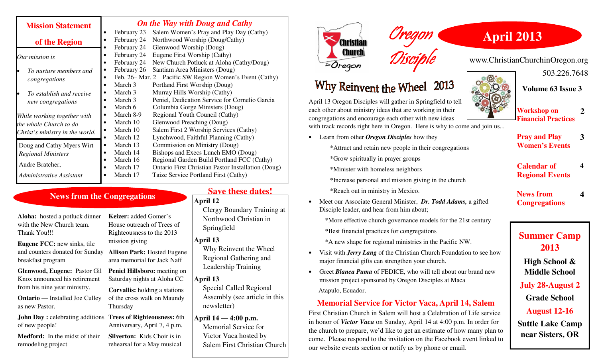| <b>Mission Statement</b>        | <b>On the Way with Doug and Cathy</b>                                |
|---------------------------------|----------------------------------------------------------------------|
|                                 | Salem Women's Pray and Play Day (Cathy)<br>February 23               |
| of the Region                   | February 24<br>Northwood Worship (Doug/Cathy)                        |
|                                 | February 24<br>Glenwood Worship (Doug)                               |
| Our mission is                  | February 24<br>Eugene First Worship (Cathy)                          |
|                                 | February 24<br>New Church Potluck at Aloha (Cathy/Doug)<br>$\bullet$ |
| To nurture members and          | February 26<br>Santiam Area Ministers (Doug)                         |
| congregations                   | Feb. 26 – Mar. 2<br>Pacific SW Region Women's Event (Cathy)          |
|                                 | March 3<br>Portland First Worship (Doug)                             |
| To establish and receive        | Murray Hills Worship (Cathy)<br>March 3                              |
| new congregations               | Peniel, Dedication Service for Cornelio Garcia<br>March 3            |
|                                 | Columbia Gorge Ministers (Doug)<br>March 6                           |
| While working together with     | March 8-9<br>Regional Youth Council (Cathy)                          |
| the whole Church to do          | Glenwood Preaching (Doug)<br>March 10<br>$\bullet$                   |
| Christ's ministry in the world. | Salem First 2 Worship Services (Cathy)<br>March 10                   |
|                                 | Lynchwood, Faithful Planning (Cathy)<br>March 12                     |
| Doug and Cathy Myers Wirt       | Commission on Ministry (Doug)<br>March 13<br>$\bullet$               |
| <b>Regional Ministers</b>       | Bishops and Execs Lunch EMO (Doug)<br>March 14<br>$\bullet$          |
| Audre Bratcher,                 | Regional Garden Build Portland FCC (Cathy)<br>March 16               |
|                                 | March 17<br>Ontario First Christian Pastor Installation (Doug)       |
| Administrative Assistant        | March 17<br>Taize Service Portland First (Cathy)                     |

## **News from the Congregations**

**Aloha:** hosted a potluck dinner with the New Church team. Thank You!!!

**Eugene FCC:** new sinks, tile and counters donated for Sunday breakfast program

**Glenwood, Eugene:** Pastor Gil Knox announced his retirement from his nine year ministry.

**Ontario** — Installed Joe Culley as new Pastor.

**John Day :** celebrating additions **Trees of Righteousness:** 6th of new people!

**Medford:** In the midst of their remodeling project

**Keizer:** added Gomer's House outreach of Trees of Righteousness to the 2013 mission giving **Allison Park:** Hosted Eugene area memorial for Jack Naff **Peniel Hillsboro:** meeting on Saturday nights at Aloha CC

**Corvallis:** holding a stations of the cross walk on Maundy Thursday

Anniversary, April 7, 4 p.m.

**Silverton:** Kids Choir is in rehearsal for a May musical

## **Save these dates!**

#### **April 12**

Clergy Boundary Training at Northwood Christian in Springfield

**April 13** 

 Why Reinvent the Wheel Regional Gathering and Leadership Training

#### **April 13**

 Special Called Regional Assembly (see article in this newsletter)

#### **April 14 — 4:00 p.m.** Memorial Service for

 Victor Vaca hosted by Salem First Christian Church



# Why Reinvent the Wheel 2013

April 13 Oregon Disciples will gather in Springfield to tell each other about ministry ideas that are working in their congregations and encourage each other with new ideas with track records right here in Oregon. Here is why to come and join us...

Oregon

Disciple

• Learn from other *Oregon Disciples* how they \*Attract and retain new people in their congregations

\*Grow spiritually in prayer groups

\*Minister with homeless neighbors

\*Increase personal and mission giving in the church

\*Reach out in ministry in Mexico.

• Meet our Associate General Minister, *Dr. Todd Adams,* a gifted Disciple leader, and hear from him about;

\*More effective church governance models for the 21st century

\*Best financial practices for congregations

\*A new shape for regional ministries in the Pacific NW.

- Visit with *Jerry Lang* of the Christian Church Foundation to see how major financial gifts can strengthen your church.
- Greet *Blanca Puma* of FEDICE, who will tell about our brand new mission project sponsored by Oregon Disciples at Maca Atapulo, Ecuador.

#### **Memorial Service for Victor Vaca, April 14, Salem**

First Christian Church in Salem will host a Celebration of Life service in honor of *Victor Vaca* on Sunday, April 14 at 4:00 p.m. In order for the church to prepare, we'd like to get an estimate of how many plan to come. Please respond to the invitation on the Facebook event linked to our website events section or notify us by phone or email.

**Volume 63 Issue 3** 

503.226.7648

 **2** 

**3**

 **4** 

**4**

**Pray and Play Women's Events** 

**Calendar of Regional Events** 

**News from Congregations** 

## **Summer Camp 2013**

**High School & Middle School** 

**July 28-August 2** 

**Grade School** 

**August 12-16** 

**Suttle Lake Camp near Sisters, OR** 

**April 2013** 

www.ChristianChurchinOregon.org

**Workshop on Financial Practices**